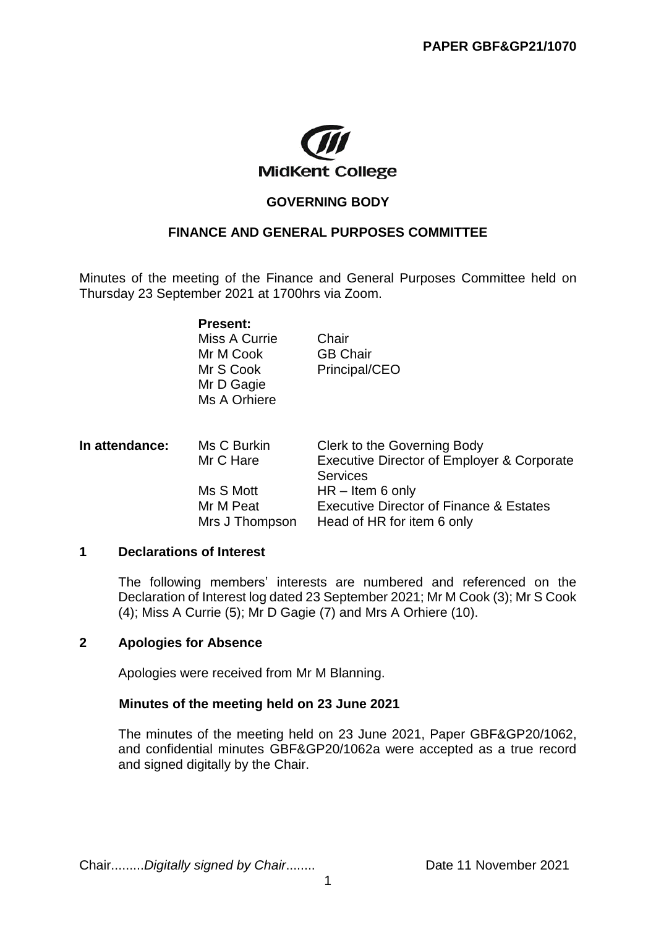

# **GOVERNING BODY**

### **FINANCE AND GENERAL PURPOSES COMMITTEE**

Minutes of the meeting of the Finance and General Purposes Committee held on Thursday 23 September 2021 at 1700hrs via Zoom.

> **Present:** Miss A Currie Chair

Mr D Gagie Ms A Orhiere

Mr M Cook **GB Chair** Mr S Cook Principal/CEO

| In attendance: | Ms C Burkin<br>Mr C Hare                 | Clerk to the Governing Body<br>Executive Director of Employer & Corporate<br><b>Services</b>           |
|----------------|------------------------------------------|--------------------------------------------------------------------------------------------------------|
|                | Ms S Mott<br>Mr M Peat<br>Mrs J Thompson | $HR - Item 6 only$<br><b>Executive Director of Finance &amp; Estates</b><br>Head of HR for item 6 only |

#### **1 Declarations of Interest**

The following members' interests are numbered and referenced on the Declaration of Interest log dated 23 September 2021; Mr M Cook (3); Mr S Cook (4); Miss A Currie (5); Mr D Gagie (7) and Mrs A Orhiere (10).

### **2 Apologies for Absence**

Apologies were received from Mr M Blanning.

### **Minutes of the meeting held on 23 June 2021**

The minutes of the meeting held on 23 June 2021, Paper GBF&GP20/1062, and confidential minutes GBF&GP20/1062a were accepted as a true record and signed digitally by the Chair.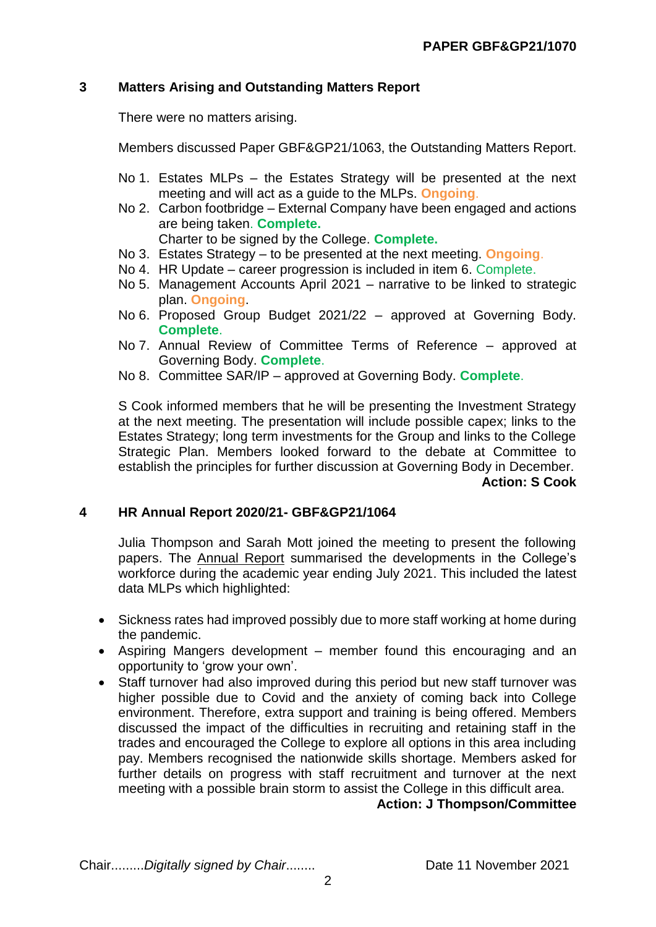## **3 Matters Arising and Outstanding Matters Report**

There were no matters arising.

Members discussed Paper GBF&GP21/1063, the Outstanding Matters Report.

- No 1. Estates MLPs the Estates Strategy will be presented at the next meeting and will act as a guide to the MLPs. **Ongoing**.
- No 2. Carbon footbridge External Company have been engaged and actions are being taken. **Complete.**

Charter to be signed by the College. **Complete.**

- No 3. Estates Strategy to be presented at the next meeting. **Ongoing**.
- No 4. HR Update career progression is included in item 6. Complete.
- No 5. Management Accounts April 2021 narrative to be linked to strategic plan. **Ongoing**.
- No 6. Proposed Group Budget 2021/22 approved at Governing Body. **Complete**.
- No 7. Annual Review of Committee Terms of Reference approved at Governing Body. **Complete**.
- No 8. Committee SAR/IP approved at Governing Body. **Complete**.

S Cook informed members that he will be presenting the Investment Strategy at the next meeting. The presentation will include possible capex; links to the Estates Strategy; long term investments for the Group and links to the College Strategic Plan. Members looked forward to the debate at Committee to establish the principles for further discussion at Governing Body in December. **Action: S Cook**

#### **4 HR Annual Report 2020/21- GBF&GP21/1064**

Julia Thompson and Sarah Mott joined the meeting to present the following papers. The Annual Report summarised the developments in the College's workforce during the academic year ending July 2021. This included the latest data MLPs which highlighted:

- Sickness rates had improved possibly due to more staff working at home during the pandemic.
- Aspiring Mangers development member found this encouraging and an opportunity to 'grow your own'.
- Staff turnover had also improved during this period but new staff turnover was higher possible due to Covid and the anxiety of coming back into College environment. Therefore, extra support and training is being offered. Members discussed the impact of the difficulties in recruiting and retaining staff in the trades and encouraged the College to explore all options in this area including pay. Members recognised the nationwide skills shortage. Members asked for further details on progress with staff recruitment and turnover at the next meeting with a possible brain storm to assist the College in this difficult area.

**Action: J Thompson/Committee**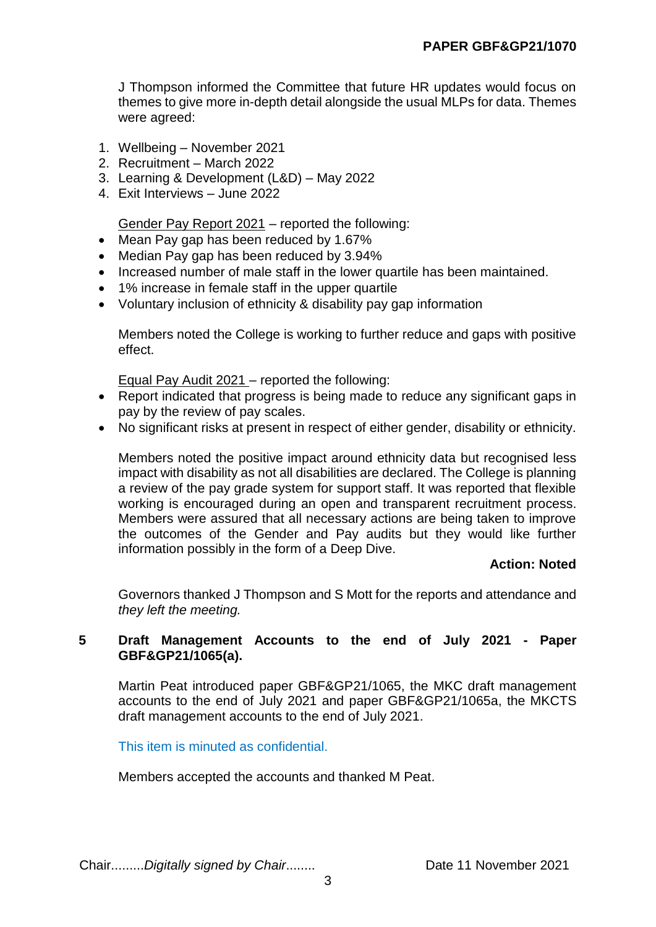J Thompson informed the Committee that future HR updates would focus on themes to give more in-depth detail alongside the usual MLPs for data. Themes were agreed:

- 1. Wellbeing November 2021
- 2. Recruitment March 2022
- 3. Learning & Development (L&D) May 2022
- 4. Exit Interviews June 2022

Gender Pay Report 2021 – reported the following:

- Mean Pay gap has been reduced by 1.67%
- Median Pay gap has been reduced by 3.94%
- Increased number of male staff in the lower quartile has been maintained.
- 1% increase in female staff in the upper quartile
- Voluntary inclusion of ethnicity & disability pay gap information

Members noted the College is working to further reduce and gaps with positive effect.

Equal Pay Audit 2021 – reported the following:

- Report indicated that progress is being made to reduce any significant gaps in pay by the review of pay scales.
- No significant risks at present in respect of either gender, disability or ethnicity.

Members noted the positive impact around ethnicity data but recognised less impact with disability as not all disabilities are declared. The College is planning a review of the pay grade system for support staff. It was reported that flexible working is encouraged during an open and transparent recruitment process. Members were assured that all necessary actions are being taken to improve the outcomes of the Gender and Pay audits but they would like further information possibly in the form of a Deep Dive.

### **Action: Noted**

Governors thanked J Thompson and S Mott for the reports and attendance and *they left the meeting.*

### **5 Draft Management Accounts to the end of July 2021 - Paper GBF&GP21/1065(a).**

Martin Peat introduced paper GBF&GP21/1065, the MKC draft management accounts to the end of July 2021 and paper GBF&GP21/1065a, the MKCTS draft management accounts to the end of July 2021.

This item is minuted as confidential.

Members accepted the accounts and thanked M Peat.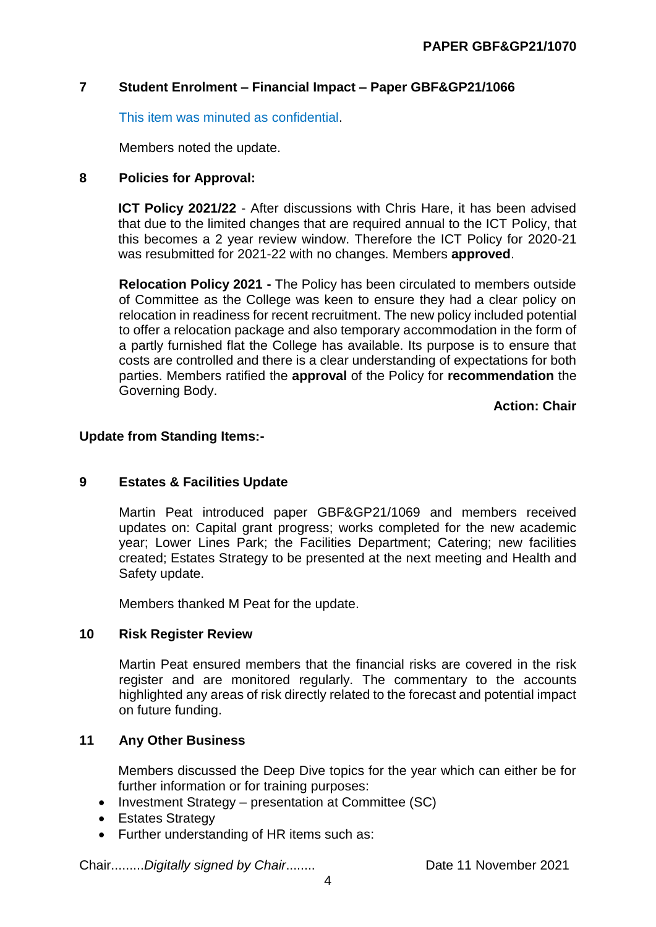### **7 Student Enrolment – Financial Impact – Paper GBF&GP21/1066**

This item was minuted as confidential.

Members noted the update.

## **8 Policies for Approval:**

**ICT Policy 2021/22** - After discussions with Chris Hare, it has been advised that due to the limited changes that are required annual to the ICT Policy, that this becomes a 2 year review window. Therefore the ICT Policy for 2020-21 was resubmitted for 2021-22 with no changes. Members **approved**.

**Relocation Policy 2021 -** The Policy has been circulated to members outside of Committee as the College was keen to ensure they had a clear policy on relocation in readiness for recent recruitment. The new policy included potential to offer a relocation package and also temporary accommodation in the form of a partly furnished flat the College has available. Its purpose is to ensure that costs are controlled and there is a clear understanding of expectations for both parties. Members ratified the **approval** of the Policy for **recommendation** the Governing Body.

**Action: Chair**

### **Update from Standing Items:-**

### **9 Estates & Facilities Update**

Martin Peat introduced paper GBF&GP21/1069 and members received updates on: Capital grant progress; works completed for the new academic year; Lower Lines Park; the Facilities Department; Catering; new facilities created; Estates Strategy to be presented at the next meeting and Health and Safety update.

Members thanked M Peat for the update.

### **10 Risk Register Review**

Martin Peat ensured members that the financial risks are covered in the risk register and are monitored regularly. The commentary to the accounts highlighted any areas of risk directly related to the forecast and potential impact on future funding.

# **11 Any Other Business**

Members discussed the Deep Dive topics for the year which can either be for further information or for training purposes:

- Investment Strategy presentation at Committee (SC)
- Estates Strategy
- Further understanding of HR items such as: